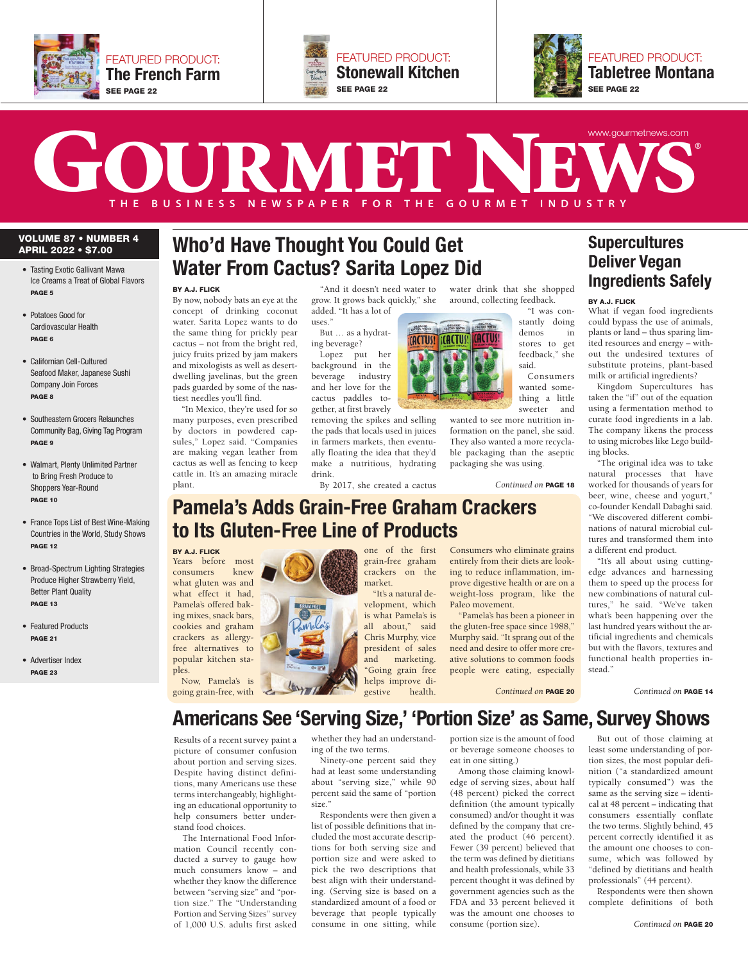





## THE BUSINESS NEWSPAPER FOR THE GOURMET INDUSTRY **T H E B U S I N E S S N E W S P A P E R F O R T H E G O U R M E T I N D U S T R Y** www.gourmetnews.com

#### **VOLUME 87 • NUMBER 4 APRIL 2022 • \$7.00**

- **•** Tasting Exotic Gallivant Mawa Ice Creams a Treat of Global Flavors **PAGE 5**
- **•** Potatoes Good for Cardiovascular Health **PAGE 6**
- **•** Californian Cell-Cultured Seafood Maker, Japanese Sushi Company Join Forces **PAGE 8**
- **•** Southeastern Grocers Relaunches Community Bag, Giving Tag Program **PAGE 9**
- **•** Walmart, Plenty Unlimited Partner to Bring Fresh Produce to Shoppers Year-Round **PAGE 10**
- **•** France Tops List of Best Wine-Making Countries in the World, Study Shows **PAGE 12**
- **•** Broad-Spectrum Lighting Strategies Produce Higher Strawberry Yield, Better Plant Quality **PAGE 13**
- **•** Featured Products **PAGE 21**
- **•** Advertiser Index **PAGE 23**

### **Who'd Have Thought You Could Get Water From Cactus? Sarita Lopez Did**

**BY A.J. FLICK**

**BY A.J. FLICK**

consumers

ples.

By now, nobody bats an eye at the concept of drinking coconut water. Sarita Lopez wants to do the same thing for prickly pear cactus – not from the bright red, juicy fruits prized by jam makers and mixologists as well as desertdwelling javelinas, but the green pads guarded by some of the nastiest needles you'll find.

"In Mexico, they're used for so many purposes, even prescribed by doctors in powdered capsules," Lopez said. "Companies are making vegan leather from cactus as well as fencing to keep cattle in. It's an amazing miracle plant.

"And it doesn't need water to grow. It grows back quickly," she

 $_{11}$ ses $^"$ But … as a hydrating beverage?

added. "It has a lot of

Lopez put her background in the beverage industry and her love for the cactus paddles together, at first bravely

removing the spikes and selling the pads that locals used in juices in farmers markets, then eventually floating the idea that they'd make a nutritious, hydrating drink.

By 2017, she created a cactus

**Pamela's Adds Grain-Free Graham Crackers**

market.



water drink that she shopped around, collecting feedback.

"I was constantly doing demos in stores to get feedback," she said. Consumers

wanted something a little sweeter and

wanted to see more nutrition information on the panel, she said. They also wanted a more recyclable packaging than the aseptic packaging she was using.

Consumers who eliminate grains entirely from their diets are looking to reduce inflammation, improve digestive health or are on a weight-loss program, like the

"Pamela's has been a pioneer in the gluten-free space since 1988," Murphy said. "It sprang out of the need and desire to offer more creative solutions to common foods people were eating, especially

Paleo movement.

*Continued on* **PAGE 18**

#### **Deliver Vegan Ingredients Safely BY A.J. FLICK**

**Supercultures** 

What if vegan food ingredients could bypass the use of animals, plants or land – thus sparing limited resources and energy – without the undesired textures of substitute proteins, plant-based milk or artificial ingredients?

Kingdom Supercultures has taken the "if" out of the equation using a fermentation method to curate food ingredients in a lab. The company likens the process to using microbes like Lego building blocks.

"The original idea was to take natural processes that have worked for thousands of years for beer, wine, cheese and yogurt," co-founder Kendall Dabaghi said. "We discovered different combinations of natural microbial cultures and transformed them into a different end product.

"It's all about using cuttingedge advances and harnessing them to speed up the process for new combinations of natural cultures," he said. "We've taken what's been happening over the last hundred years without the artificial ingredients and chemicals but with the flavors, textures and functional health properties instead."

helps improve digestive health.

one of the first grain-free graham crackers on the

"It's a natural development, which is what Pamela's is all about," said Chris Murphy, vice president of sales and marketing. "Going grain free

**Americans See 'Serving Size,' 'Portion Size' as Same, Survey Shows** *Continued on* **PAGE 14** going grain-free, with *Continued on* **PAGE 20**

Results of a recent survey paint a picture of consumer confusion about portion and serving sizes. Despite having distinct definitions, many Americans use these terms interchangeably, highlighting an educational opportunity to help consumers better understand food choices.

The International Food Information Council recently conducted a survey to gauge how much consumers know – and whether they know the difference between "serving size" and "portion size." The "Understanding Portion and Serving Sizes" survey of 1,000 U.S. adults first asked

whether they had an understanding of the two terms.

Ninety-one percent said they had at least some understanding about "serving size," while 90 percent said the same of "portion size."

Respondents were then given a list of possible definitions that included the most accurate descriptions for both serving size and portion size and were asked to pick the two descriptions that best align with their understanding. (Serving size is based on a standardized amount of a food or beverage that people typically consume in one sitting, while

portion size is the amount of food or beverage someone chooses to eat in one sitting.)

Among those claiming knowledge of serving sizes, about half (48 percent) picked the correct definition (the amount typically consumed) and/or thought it was defined by the company that created the product (46 percent). Fewer (39 percent) believed that the term was defined by dietitians and health professionals, while 33 percent thought it was defined by government agencies such as the FDA and 33 percent believed it was the amount one chooses to consume (portion size).

But out of those claiming at least some understanding of portion sizes, the most popular definition ("a standardized amount typically consumed") was the same as the serving size – identical at 48 percent – indicating that consumers essentially conflate the two terms. Slightly behind, 45 percent correctly identified it as the amount one chooses to consume, which was followed by "defined by dietitians and health professionals" (44 percent).

Respondents were then shown complete definitions of both